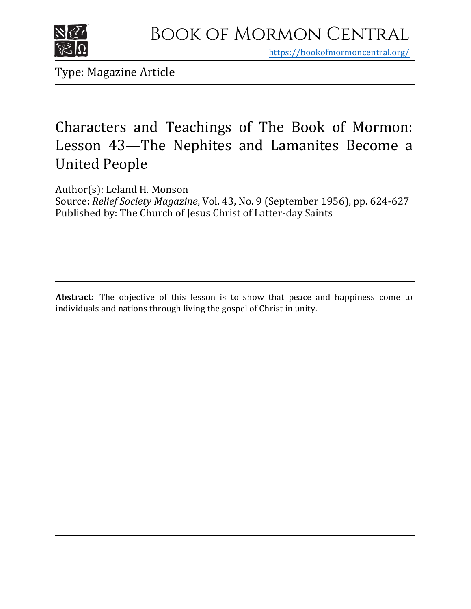

https[://bookofmormoncentral.org/](http://bookofmormoncentral.org/)

Type: Magazine Article

## Characters and Teachings of The Book of Mormon: Lesson 43—The Nephites and Lamanites Become a United People

Author(s): Leland H. Monson

Source: *Relief Society Magazine*, Vol. 43, No. 9 (September 1956), pp. 624-627 Published by: The Church of Jesus Christ of Latter-day Saints

**Abstract:** The objective of this lesson is to show that peace and happiness come to individuals and nations through living the gospel of Christ in unity.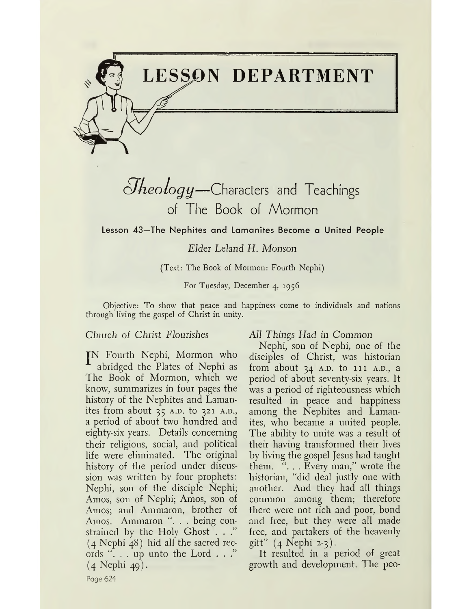

## *¿J'keology—*Characters and Teachings of The Book of Mormon

**Lesson 43—The Nephites and Lamanites Become a United People**

*Elder Leland H. Monson*

(Text: The Book of Mormon: Fourth Nephi)

For Tuesday, December 4, 1956

Objective: To show that peace and happiness come to individuals and nations through living the gospel of Christ in unity.

### *Church of Christ Flourishes*

JN Fourth Nephi, Mormon who abridged the Plates of Nephi as The Book of Mormon, which we know, summarizes in four pages the history of the Nephites and Lamanites from about  $35$  A.D. to  $321$  A.D., a period of about two hundred and eighty-six years. Details concerning their religious, social, and political life were eliminated. The original history of the period under discussion was written by four prophets: Nephi, son of the disciple Nephi; Amos, son of Nephi; Amos, son of Amos; and Ammaron, brother of Amos. Ammaron ". . . being constrained by the Holy Ghost . . ." (4 Nephi 48) hid all the sacred records ". . . up unto the Lord . . ." (4 Nephi 49).

### *All Things Had in Common*

Nephi, son of Nephi, one of the disciples of Christ, was historian from about  $34$  A.D. to  $111$  A.D., a period of about seventy-six years. It was a period of righteousness which resulted in peace and happiness among the Nephites and Lamanites, who became a united people. The ability to unite was a result of their having transformed their lives by living the gospel Jesus had taught them. "... Every man," wrote the historian, "did deal justly one with another. And they had all things common among them; therefore there were not rich and poor, bond and free, but they were all made free, and partakers of the heavenly gift" (4 Nephi 2-3).

It resulted in a period of great growth and development. The peo-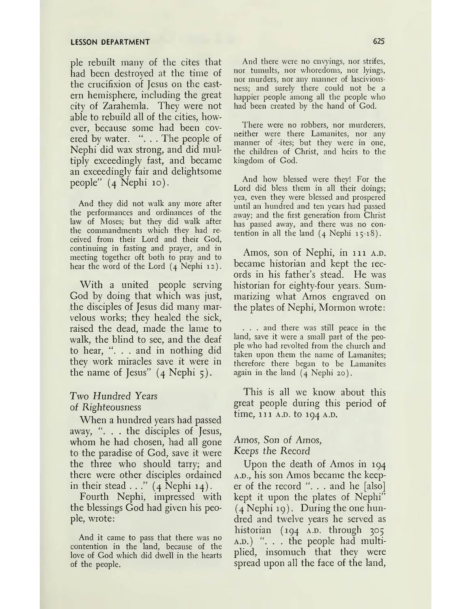#### **LESSON DEPARTMENT 625**

pie rebuilt many of the cites that had been destroyed at the time of the crucifixion of Jesus on the eastern hemisphere, including the great city of Zarahemla. They were not able to rebuild all of the cities, however, because some had been covered by water.  $\cdot \cdot$ . The people of Nephi did wax strong, and did multiply exceedingly fast, and became an exceedingly fair and delightsome people" (4 Nephi 10).

And they did not walk any more after the performances and ordinances of the law of Moses; but they did walk after the commandments which they had received from their Lord and their God, continuing in fasting and prayer, and in meeting together oft both to pray and to hear the word of the Lord (4 Nephi 12).

With a united people serving God by doing that which was just, the disciples of Jesus did many marvelous works; they healed the sick, raised the dead, made the lame to walk, the blind to see, and the deaf to hear, ". . . and in nothing did they work miracles save it were in the name of Jesus"  $(4$  Nephi 5).

### Two *Hundred Years of Righteousness*

When a hundred years had passed away,  $\ldots$  the disciples of Jesus, whom he had chosen, had all gone to the paradise of God, save it were the three who should tarry; and there were other disciples ordained in their stead  $\ldots$ " (4 Nephi 14).

Fourth Nephi, impressed with the blessings God had given his people, wrote:

And it came to pass that there was no contention in the land, because of the love of God which did dwell in the hearts of the people.

And there were no envyings, nor strifes, nor tumults, nor whoredoms, nor lyings, nor murders, nor any manner of lasciviousness; and surely there could not be a happier people among all the people who had been created by the hand of God.

There were no robbers, nor murderers, neither were there Lamanites, nor any manner of -ites; but they were in one, the children of Christ, and heirs to the kingdom of God.

And how blessed were they! For the Lord did bless them in all their doings; yea, even they were blessed and prospered until an hundred and ten years had passed away; and the first generation from Christ has passed away, and there was no contention in all the land  $(4 \text{ Nephi } 15.18)$ .

Amos, son of Nephi, in 111 A.D. became historian and kept the records in his father'<sup>s</sup> stead. He was historian for eighty-four years. Summarizing what Amos engraved on the plates of Nephi, Mormon wrote:

. . . and there was still peace in the land, save it were a small part of the people who had revolted from the church and taken upon them the name of Lamanites; therefore there began to be Lamanites again in the land (4 Nephi 20).

This is all we know about this great people during this period of time,  $111$  A.D. to  $104$  A.D.

## *Amos, Son of Amos,*

*Keeps the Record*

Upon the death of Amos in 194 A.D., his son Amos became the keeper of the record " $\dots$  and he [also] kept it upon the plates of Nephi"  $(4$  Nephi 19). During the one hundred and twelve years he served as historian  $(194 \t A.D.$  through  $305$  $A.D.$ )  $\ldots$  the people had multiplied, insomuch that they were spread upon all the face of the land,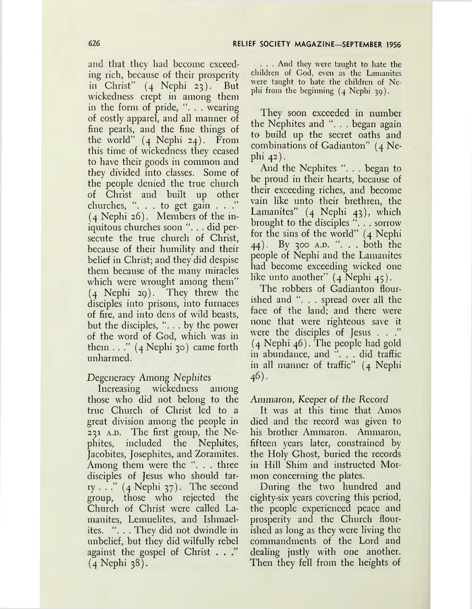and that they had become exceeding rich, because of their prosperity in Christ" (4 Nephi 23). But wickedness crept in among them in the form of pride, ". . . wearing of costly apparel, and all manner of fine pearls, and the fine things of the world"  $(4 \text{ Nephi } 24)$ . From this time of wickedness they ceased to have their goods in common and they divided into classes. Some of the people denied the true church of Christ and built up other churches, ". . . to get gain . . ." (4 Nephi 26). Members of the iniquitous churches soon ". . . did persecute the true church of Christ, because of their humility and their belief in Christ; and they did despise them because of the many miracles which were wrought among them"  $(4$  Nephi 29). They threw the disciples into prisons, into furnaces of fire, and into dens of wild beasts, but the disciples, "... by the power of the word of God, which was in them  $\dots$ " (4 Nephi 30) came forth unharmed.

## Degeneracy Among *Nephites*

Increasing wickedness among those who did not belong to the true Church of Christ led to a great division among the people in 231 A.D. The first group, the Nephites, included the Nephites, Jacobites, Josephites, and Zoramites. Among them were the "... three disciples of Jesus who should tarry . . ."  $(4 \text{ Nephi } 37)$ . The second group, those who rejected the Church of Christ were called Lamanites, Lemuelites, and Ishmaelites. ". . . They did not dwindle in unbelief, but they did wilfully rebel against the gospel of Christ . . ." (4 Nephi 38).

. . . And they were taught to hate the children of God, even as the Lanianites were taught to hate the children of Nephi from the beginning (4 Nephi 39).

They soon exceeded in number the Nephites and ". . . began again to- build up the secret oaths and combinations of Gadianton" (4 Nephi 42).

And the Nephites ". . . began to be proud in their hearts, because of their exceeding riches, and become vain like unto their brethren, the Lamanites" (4 Nephi 43), which brought to the disciples "... sorrow for the sins of the world" (4 Nephi 44). By 300 A.D. ". . . both the people of Nephi and the Lamanites had become exceeding wicked one like unto another" (4 Nephi 45).

The robbers of Gadianton flourished and ". . . spread over all the face of the land; and there were none that were righteous save it were the disciples of Jesus . . ." (4 Nephi 46). The people had gold in abundance, and "... did traffic in all manner of traffic" (4 Nephi 46).

## Ammaron, Keeper of *the Record*

It was at this time that Amos died and the record was given to his brother Ammaron. Ammaron, fifteen years later, constrained by the Holy Ghost, buried the records in Hill Shim and instructed Mormon concerning the plates.

During the two hundred and eighty-six years covering this period, the people experienced peace and prosperity and the Church flourished as long as they were living the commandments of the Lord and dealing justly with one another. Then they fell from the heights of